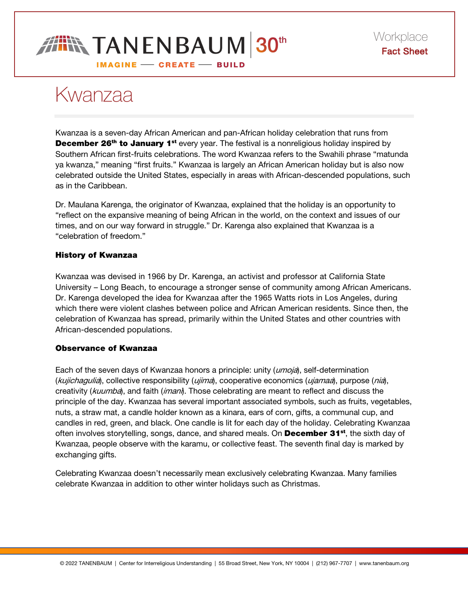# **IN TANENBAUM 30th** IMAGINE - CREATE - BUILD

# Kwanzaa

Kwanzaa is a seven-day African American and pan-African holiday celebration that runs from **December 26<sup>th</sup> to January 1<sup>st</sup>** every year. The festival is a nonreligious holiday inspired by Southern African first-fruits celebrations. The word Kwanzaa refers to the Swahili phrase "matunda ya kwanza," meaning "first fruits." Kwanzaa is largely an African American holiday but is also now celebrated outside the United States, especially in areas with African-descended populations, such as in the Caribbean.

Dr. Maulana Karenga, the originator of Kwanzaa, explained that the holiday is an opportunity to "reflect on the expansive meaning of being African in the world, on the context and issues of our times, and on our way forward in struggle." Dr. Karenga also explained that Kwanzaa is a "celebration of freedom."

## History of Kwanzaa

Kwanzaa was devised in 1966 by Dr. Karenga, an activist and professor at California State University – Long Beach, to encourage a stronger sense of community among African Americans. Dr. Karenga developed the idea for Kwanzaa after the 1965 Watts riots in Los Angeles, during which there were violent clashes between police and African American residents. Since then, the celebration of Kwanzaa has spread, primarily within the United States and other countries with African-descended populations.

## Observance of Kwanzaa

Each of the seven days of Kwanzaa honors a principle: unity (*umoja*), self-determination (kujichagulia), collective responsibility (ujima), cooperative economics (ujamaa), purpose (nia), creativity (kuumba), and faith (imani). Those celebrating are meant to reflect and discuss the principle of the day. Kwanzaa has several important associated symbols, such as fruits, vegetables, nuts, a straw mat, a candle holder known as a kinara, ears of corn, gifts, a communal cup, and candles in red, green, and black. One candle is lit for each day of the holiday. Celebrating Kwanzaa often involves storytelling, songs, dance, and shared meals. On **December 31**<sup>st</sup>, the sixth day of Kwanzaa, people observe with the karamu, or collective feast. The seventh final day is marked by exchanging gifts.

Celebrating Kwanzaa doesn't necessarily mean exclusively celebrating Kwanzaa. Many families celebrate Kwanzaa in addition to other winter holidays such as Christmas.